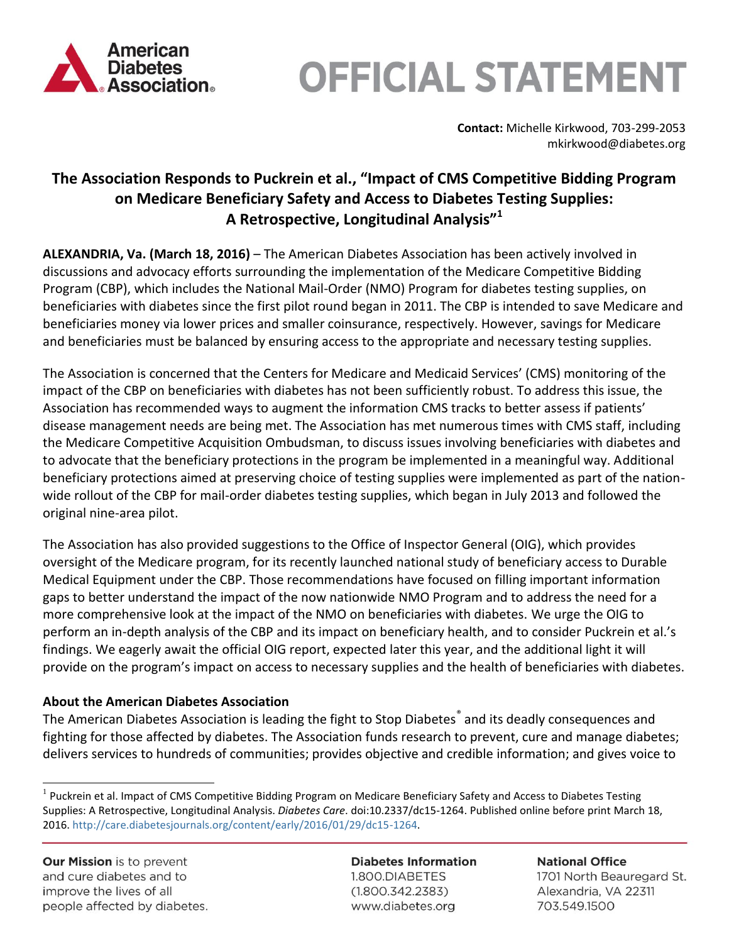

# **OFFICIAL STATEMENT**

**Contact:** Michelle Kirkwood, 703-299-2053 mkirkwood@diabetes.org

### **The Association Responds to Puckrein et al., "Impact of CMS Competitive Bidding Program on Medicare Beneficiary Safety and Access to Diabetes Testing Supplies: A Retrospective, Longitudinal Analysis"<sup>1</sup>**

**ALEXANDRIA, Va. (March 18, 2016)** – The American Diabetes Association has been actively involved in discussions and advocacy efforts surrounding the implementation of the Medicare Competitive Bidding Program (CBP), which includes the National Mail-Order (NMO) Program for diabetes testing supplies, on beneficiaries with diabetes since the first pilot round began in 2011. The CBP is intended to save Medicare and beneficiaries money via lower prices and smaller coinsurance, respectively. However, savings for Medicare and beneficiaries must be balanced by ensuring access to the appropriate and necessary testing supplies.

The Association is concerned that the Centers for Medicare and Medicaid Services' (CMS) monitoring of the impact of the CBP on beneficiaries with diabetes has not been sufficiently robust. To address this issue, the Association has recommended ways to augment the information CMS tracks to better assess if patients' disease management needs are being met. The Association has met numerous times with CMS staff, including the Medicare Competitive Acquisition Ombudsman, to discuss issues involving beneficiaries with diabetes and to advocate that the beneficiary protections in the program be implemented in a meaningful way. Additional beneficiary protections aimed at preserving choice of testing supplies were implemented as part of the nationwide rollout of the CBP for mail-order diabetes testing supplies, which began in July 2013 and followed the original nine-area pilot.

The Association has also provided suggestions to the Office of Inspector General (OIG), which provides oversight of the Medicare program, for its recently launched national study of beneficiary access to Durable Medical Equipment under the CBP. Those recommendations have focused on filling important information gaps to better understand the impact of the now nationwide NMO Program and to address the need for a more comprehensive look at the impact of the NMO on beneficiaries with diabetes. We urge the OIG to perform an in-depth analysis of the CBP and its impact on beneficiary health, and to consider Puckrein et al.'s findings. We eagerly await the official OIG report, expected later this year, and the additional light it will provide on the program's impact on access to necessary supplies and the health of beneficiaries with diabetes.

### **About the American Diabetes Association**

The American Diabetes Association is leading the fight to Stop Diabetes<sup>®</sup> and its deadly consequences and fighting for those affected by diabetes. The Association funds research to prevent, cure and manage diabetes; delivers services to hundreds of communities; provides objective and credible information; and gives voice to

**Our Mission** is to prevent and cure diabetes and to improve the lives of all people affected by diabetes.

 $\overline{a}$ 

**Diabetes Information** 1.800.DIABETES  $(1.800.342.2383)$ www.diabetes.org

**National Office** 1701 North Beauregard St. Alexandria, VA 22311 703.549.1500

 $1$  Puckrein et al. Impact of CMS Competitive Bidding Program on Medicare Beneficiary Safety and Access to Diabetes Testing Supplies: A Retrospective, Longitudinal Analysis. *Diabetes Care*. doi:10.2337/dc15-1264. Published online before print March 18, 2016. [http://care.diabetesjournals.org/content/early/2016/01/29/dc15-1264.](http://care.diabetesjournals.org/content/early/2016/01/29/dc15-1264)